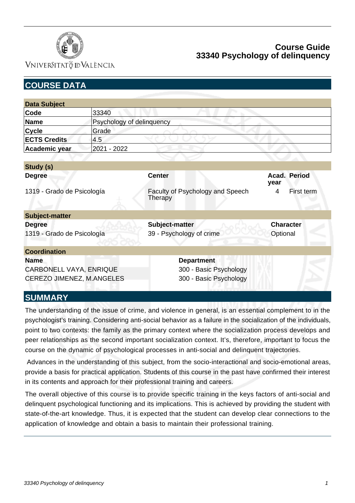

VNIVERSITATÖ ID VALÈNCIA

| <b>COURSE DATA</b>             |                           |                                             |                             |
|--------------------------------|---------------------------|---------------------------------------------|-----------------------------|
|                                |                           |                                             |                             |
| <b>Data Subject</b>            |                           |                                             |                             |
| Code                           | 33340                     |                                             |                             |
| <b>Name</b>                    | Psychology of delinquency |                                             |                             |
| <b>Cycle</b>                   | Grade                     |                                             |                             |
| <b>ECTS Credits</b>            | 4.5                       |                                             |                             |
| Academic year                  | 2021 - 2022               |                                             |                             |
|                                |                           |                                             |                             |
| Study (s)                      |                           |                                             |                             |
| <b>Degree</b>                  |                           | <b>Center</b>                               | <b>Acad. Period</b><br>year |
| 1319 - Grado de Psicología     |                           | Faculty of Psychology and Speech<br>Therapy | 4<br>First term             |
| <b>Subject-matter</b>          |                           |                                             |                             |
| <b>Degree</b>                  |                           | Subject-matter                              | <b>Character</b>            |
| 1319 - Grado de Psicología     |                           | 39 - Psychology of crime                    | Optional                    |
| <b>Coordination</b>            |                           |                                             |                             |
| <b>Name</b>                    |                           | <b>Department</b>                           |                             |
| <b>CARBONELL VAYA, ENRIQUE</b> |                           | 300 - Basic Psychology                      |                             |
| CEREZO JIMENEZ, M.ANGELES      |                           | 300 - Basic Psychology                      |                             |

## **SUMMARY**

The understanding of the issue of crime, and violence in general, is an essential complement to in the psychologist's training. Considering anti-social behavior as a failure in the socialization of the individuals, point to two contexts: the family as the primary context where the socialization process develops and peer relationships as the second important socialization context. It's, therefore, important to focus the course on the dynamic of psychological processes in anti-social and delinquent trajectories.

 Advances in the understanding of this subject, from the socio-interactional and socio-emotional areas, provide a basis for practical application. Students of this course in the past have confirmed their interest in its contents and approach for their professional training and careers.

The overall objective of this course is to provide specific training in the keys factors of anti-social and delinquent psychological functioning and its implications. This is achieved by providing the student with state-of-the-art knowledge. Thus, it is expected that the student can develop clear connections to the application of knowledge and obtain a basis to maintain their professional training.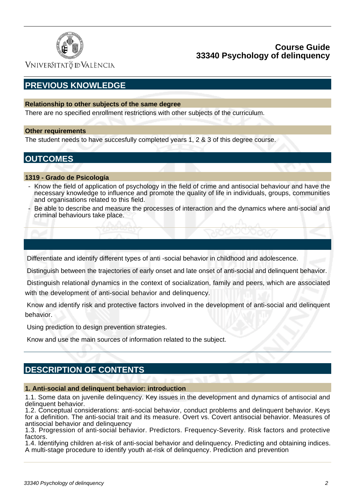

VNIVERSITATÖ IDVALÈNCIA

# **PREVIOUS KNOWLEDGE**

#### **Relationship to other subjects of the same degree**

There are no specified enrollment restrictions with other subjects of the curriculum.

#### **Other requirements**

The student needs to have succesfully completed years 1, 2 & 3 of this degree course.

## **OUTCOMES**

#### **1319 - Grado de Psicología**

- Know the field of application of psychology in the field of crime and antisocial behaviour and have the necessary knowledge to influence and promote the quality of life in individuals, groups, communities and organisations related to this field.
- Be able to describe and measure the processes of interaction and the dynamics where anti-social and criminal behaviours take place.

Differentiate and identify different types of anti -social behavior in childhood and adolescence.

Distinguish between the trajectories of early onset and late onset of anti-social and delinquent behavior.

 Distinguish relational dynamics in the context of socialization, family and peers, which are associated with the development of anti-social behavior and delinquency.

 Know and identify risk and protective factors involved in the development of anti-social and delinquent behavior.

Using prediction to design prevention strategies.

Know and use the main sources of information related to the subject.

## **DESCRIPTION OF CONTENTS**

#### **1. Anti-social and delinquent behavior: introduction**

1.1. Some data on juvenile delinquency. Key issues in the development and dynamics of antisocial and delinquent behavior.

1.2. Conceptual considerations: anti-social behavior, conduct problems and delinquent behavior. Keys for a definition. The anti-social trait and its measure. Overt vs. Covert antisocial behavior. Measures of antisocial behavior and delinquency

1.3. Progression of anti-social behavior. Predictors. Frequency-Severity. Risk factors and protective factors.

1.4. Identifying children at-risk of anti-social behavior and delinquency. Predicting and obtaining indices. A multi-stage procedure to identify youth at-risk of delinquency. Prediction and prevention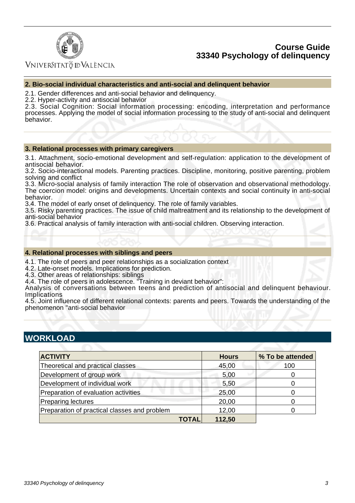

## Vniver§itatğ dValència

#### **2. Bio-social individual characteristics and anti-social and delinquent behavior**

2.1. Gender differences and anti-social behavior and delinquency.

2.2. Hyper-activity and antisocial behavior

2.3. Social Cognition: Social information processing: encoding, interpretation and performance processes. Applying the model of social information processing to the study of anti-social and delinquent behavior.

#### **3. Relational processes with primary caregivers**

3.1. Attachment, socio-emotional development and self-regulation: application to the development of antisocial behavior.

3.2. Socio-interactional models. Parenting practices. Discipline, monitoring, positive parenting, problem solving and conflict

3.3. Micro-social analysis of family interaction The role of observation and observational methodology. The coercion model: origins and developments. Uncertain contexts and social continuity in anti-social behavior.

3.4. The model of early onset of delinquency. The role of family variables.

3.5. Risky parenting practices. The issue of child maltreatment and its relationship to the development of anti-social behavior

3.6. Practical analysis of family interaction with anti-social children. Observing interaction.

#### **4. Relational processes with siblings and peers**

4.1. The role of peers and peer relationships as a socialization context

4.2. Late-onset models. Implications for prediction.

4.3. Other areas of relationships: siblings

4.4. The role of peers in adolescence. "Training in deviant behavior":

Analysis of conversations between teens and prediction of antisocial and delinquent behaviour. **Implications** 

4.5. Joint influence of different relational contexts: parents and peers. Towards the understanding of the phenomenon "anti-social behavior

## **WORKLOAD**

| <b>ACTIVITY</b>                              | <b>Hours</b>    | % To be attended |
|----------------------------------------------|-----------------|------------------|
| Theoretical and practical classes            | 45,00           | 100              |
| Development of group work                    | 5,00            |                  |
| Development of individual work               | 5,50            |                  |
| Preparation of evaluation activities         | 25,00           | $\mathbf{0}$     |
| <b>Preparing lectures</b>                    | 20,00           |                  |
| Preparation of practical classes and problem | 12,00           |                  |
|                                              | 112,50<br>TOTAL |                  |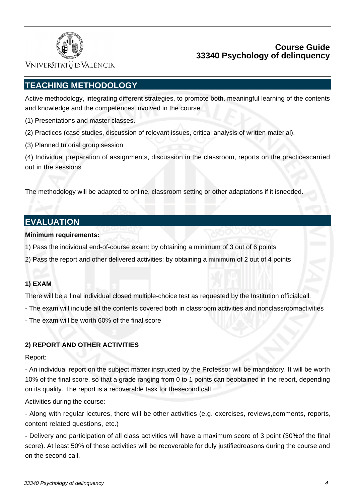

VNIVERSITATÖ IDVALÈNCIA

# **TEACHING METHODOLOGY**

Active methodology, integrating different strategies, to promote both, meaningful learning of the contents and knowledge and the competences involved in the course.

- (1) Presentations and master classes.
- (2) Practices (case studies, discussion of relevant issues, critical analysis of written material).
- (3) Planned tutorial group session

(4) Individual preparation of assignments, discussion in the classroom, reports on the practicescarried out in the sessions

The methodology will be adapted to online, classroom setting or other adaptations if it isneeded.

# **EVALUATION**

#### **Minimum requirements:**

- 1) Pass the individual end-of-course exam: by obtaining a minimum of 3 out of 6 points
- 2) Pass the report and other delivered activities: by obtaining a minimum of 2 out of 4 points

### **1) EXAM**

There will be a final individual closed multiple-choice test as requested by the Institution officialcall.

- The exam will include all the contents covered both in classroom activities and nonclassroomactivities
- The exam will be worth 60% of the final score

### **2) REPORT AND OTHER ACTIVITIES**

Report:

- An individual report on the subject matter instructed by the Professor will be mandatory. It will be worth 10% of the final score, so that a grade ranging from 0 to 1 points can beobtained in the report, depending on its quality. The report is a recoverable task for thesecond call

Activities during the course:

- Along with regular lectures, there will be other activities (e.g. exercises, reviews,comments, reports, content related questions, etc.)

- Delivery and participation of all class activities will have a maximum score of 3 point (30%of the final score). At least 50% of these activities will be recoverable for duly justifiedreasons during the course and on the second call.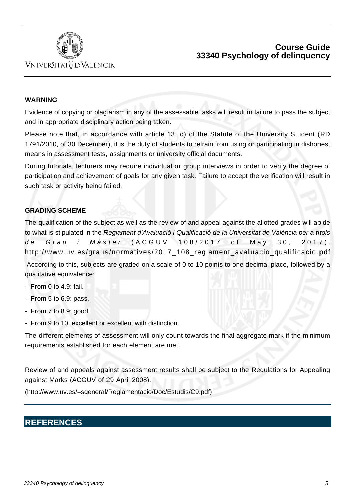

## VNIVERSITATÖ ID VALÈNCIA

### **WARNING**

Evidence of copying or plagiarism in any of the assessable tasks will result in failure to pass the subject and in appropriate disciplinary action being taken.

Please note that, in accordance with article 13. d) of the Statute of the University Student (RD 1791/2010, of 30 December), it is the duty of students to refrain from using or participating in dishonest means in assessment tests, assignments or university official documents.

During tutorials, lecturers may require individual or group interviews in order to verify the degree of participation and achievement of goals for any given task. Failure to accept the verification will result in such task or activity being failed.

### **GRADING SCHEME**

The qualification of the subject as well as the review of and appeal against the allotted grades will abide to what is stipulated in the Reglament d'Avaluació i Qualificació de la Universitat de València per a títols de Grau i Màster (ACGUV 108/2017 of May 30, 2017). [http://www.uv.es/graus/normatives/2017\\_108\\_reglament\\_avaluacio\\_qualificacio.pdf](http:/www.uv.es/graus/normatives/2017_108_reglament_avaluacio_qualificacio.pdf)

 According to this, subjects are graded on a scale of 0 to 10 points to one decimal place, followed by a qualitative equivalence:

- From 0 to 4.9: fail.
- From 5 to 6.9: pass.
- From 7 to 8.9: good.
- From 9 to 10: excellent or excellent with distinction.

The different elements of assessment will only count towards the final aggregate mark if the minimum requirements established for each element are met.

Review of and appeals against assessment results shall be subject to the Regulations for Appealing against Marks (ACGUV of 29 April 2008).

([http://www.uv.es/=sgeneral/Reglamentacio/Doc/Estudis/C9.pdf\)](http:/www.uv.es/=sgeneral/Reglamentacio/Doc/Estudis/C9.pdf)

## **REFERENCES**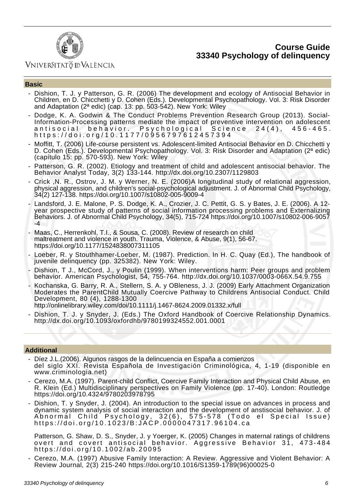

### Vniver§itatğ dValència

#### **Basic**

- Dishion, T. J. y Patterson, G. R. (2006) The development and ecology of Antisocial Behavior in Children, en D. Chicchetti y D. Cohen (Eds.). Developmental Psychopathology. Vol. 3: Risk Disorder and Adaptation (2ª edic) (cap. 13: pp. 503-542). New York: Wiley
- Dodge, K. A. Godwin & The Conduct Problems Prevention Research Group (2013). Social-Information-Processing patterns mediate the impact of preventive intervention on adolescent antisocial behavior. Psychological Science 24(4), 456-465. antisocial behavior. Psychological Science https://doi.org/10.1177/0956797612457394
- Moffitt, T. (2006) Life-course persistent vs. Adolescent-limited Antisocial Behavior en D. Chicchetti y D. Cohen (Eds.). Developmental Psychopathology. Vol. 3: Risk Disorder and Adaptation (2<sup>a</sup> edic) (capítulo 15: pp. 570-593). New York: Wiley
- Patterson, G. R. (2002). Etiology and treatment of child and adolescent antisocial behavior. The Behavior Analyst Today, 3(2) 133-144. http://dx.doi.org/10.2307/1129803
- Crick ,N. R., Ostrov, J. M. y Werner, N. E. (2006)A longitudinal study of relational aggression, physical aggression, and children's social-psychological adjustment. J. of Abnormal Child Psychology, 34(2) 127-138. https://doi.org/10.1007/s10802-005-9009-4
- Landsford, J. E. Malone, P. S. Dodge, K. A., Crozier, J. C. Pettit, G. S. y Bates, J. E. (2006). A 12 year prospective study of patterns of social information processing problems and Externalizing Behaviors. J. of Abnormal Child Psychology, 34(5), 715-724 https://doi.org/10.1007/s10802-006-9057 -4
- Maas, C., Herrenkohl, T.I., & Sousa, C. (2008). Review of research on child maltreatment and violence in youth. Trauma, Violence, & Abuse, 9(1), 56-67. https://doi.org/10.1177/1524838007311105
- Loeber, R. y Stouthhamer-Loeber, M. (1987). Prediction. In H. C. Quay (Ed.), The handbook of juvenile delinquency (pp. 325382). New York: Wiley.
- Dishion, T J., McCord, J., y Poulin (1999). When interventions harm: Peer groups and problem behavior. American Psychologist, 54, 755-764. http://dx.doi.org/10.1037/0003-066X.54.9.755
- Kochanska, G. Barry, R. A., Stellern, S. A. y OBleness, J. J. (2009) Early Attachment Organization Moderates the ParentChild Mutually Coercive Pathway to Childrens Antisocial Conduct. Child Development, 80 (4), 1288-1300 http://onlinelibrary.wiley.com/doi/10.1111/j.1467-8624.2009.01332.x/full
- Dishion, T. J. y Snyder, J. (Eds.) The Oxford Handbook of Coercive Relationship Dynamics. http://dx.doi.org/10.1093/oxfordhb/9780199324552.001.0001

#### **Additional**

- Díez J.L.(2006). Algunos rasgos de la delincuencia en España a comienzos del siglo XXI. Revista Española de Investigación Criminológica, 4, 1-19 (disponible en www.criminologia.net)
- Cerezo, M.A. (1997). Parent-child Conflict, Coercive Family Interaction and Physical Child Abuse, en R. Klein (Ed.) Multidisciplinary perspectives on Family Violence (pp. 17-40). London: Routledge https://doi.org/10.4324/9780203978795
- Dishion, T. y Snyder, J. (2004). An introduction to the special issue on advances in process and dynamic system analysis of social interaction and the development of anstisocial behavior. J. of Abnormal Child Psychology, 32(6), 575-578 (Todo el Special Issue) https://doi.org/10.1023/B:JACP.0000047317.96104.ca

Patterson, G. Shaw, D. S., Snyder, J. y Yoerger, K. (2005) Changes in maternal ratings of childrens overt and covert antisocial behavior. Aggressive Behavior 31, 473-484 https://doi.org/10.1002/ab.20095

 - Cerezo, M.A. (1997) Abusive Family Interaction: A Review. Aggressive and Violent Behavior: A Review Journal, 2(3) 215-240 https://doi.org/10.1016/S1359-1789(96)00025-0